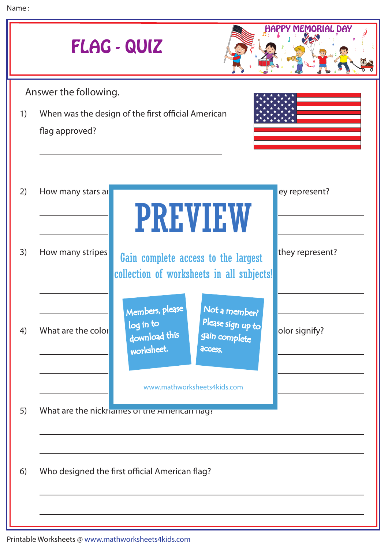| <b>MEMORIAL DAY</b><br>FLAG - QUIZ |                                                                      |                                                                                                                               |                 |
|------------------------------------|----------------------------------------------------------------------|-------------------------------------------------------------------------------------------------------------------------------|-----------------|
| Answer the following.              |                                                                      |                                                                                                                               |                 |
| 1)                                 | When was the design of the first official American<br>flag approved? |                                                                                                                               |                 |
| 2)                                 | How many stars ar                                                    | <b>PREVIEW</b>                                                                                                                | ey represent?   |
| 3)                                 | How many stripes                                                     | Gain complete access to the largest<br>collection of worksheets in all subjects!                                              | they represent? |
| 4)                                 | What are the color                                                   | Members, please<br>Not a member?<br>Please sign up to<br>log in to<br>download this<br>gain complete<br>worksheet.<br>access. | olor signify?   |
|                                    |                                                                      | www.mathworksheets4kids.com                                                                                                   |                 |
| 5)                                 |                                                                      | What are the nickriames or the American nag:                                                                                  |                 |
| 6)                                 | Who designed the first official American flag?                       |                                                                                                                               |                 |
|                                    |                                                                      |                                                                                                                               |                 |